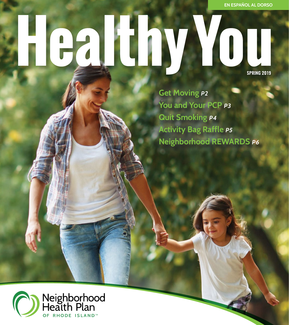**SPARITY OUT** 

**Get Moving** *p2* **You and Your PCP** *p3* **Quit Smoking** *p4* **Activity Bag Raffle** *p5* **Neighborhood REWARDS** *p6*

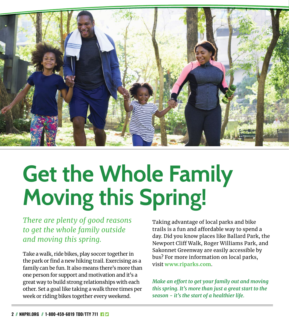

# **Get the Whole Family Moving this Spring!**

*There are plenty of good reasons to get the whole family outside and moving this spring.* 

Take a walk, ride bikes, play soccer together in the park or find a new hiking trail. Exercising as a family can be fun. It also means there's more than one person for support and motivation and it's a great way to build strong relationships with each other. Set a goal like taking a walk three times per week or riding bikes together every weekend.

Taking advantage of local parks and bike trails is a fun and affordable way to spend a day. Did you know places like Ballard Park, the Newport Cliff Walk, Roger Williams Park, and Sakonnet Greenway are easily accessible by bus? For more information on local parks, visit **[www.riparks.com](http://www.riparks.com)**.

*Make an effort to get your family out and moving this spring. It's more than just a great start to the season - it's the start of a healthier life.*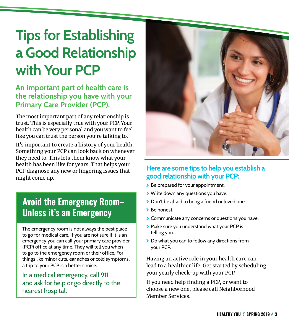### **Tips for Establishing a Good Relationship with Your PCP**

#### **An important part of health care is the relationship you have with your Primary Care Provider (PCP).**

The most important part of any relationship is trust. This is especially true with your PCP. Your health can be very personal and you want to feel like you can trust the person you're talking to.

It's important to create a history of your health. Something your PCP can look back on whenever they need to. This lets them know what your health has been like for years. That helps your PCP diagnose any new or lingering issues that might come up.

### **Avoid the Emergency Room– Unless it's an Emergency**

The emergency room is not always the best place to go for medical care. If you are not sure if it is an emergency you can call your primary care provider (PCP) office at any time. They will tell you when to go to the emergency room or their office. For things like minor cuts, ear aches or cold symptoms, a trip to your PCP is a better choice.

In a medical emergency, call 911 and ask for help or go directly to the nearest hospital.



#### **Here are some tips to help you establish a good relationship with your PCP:**

- > Be prepared for your appointment.
- > Write down any questions you have.
- > Don't be afraid to bring a friend or loved one.
- > Be honest.
- **>** Communicate any concerns or questions you have.
- > Make sure you understand what your PCP is telling you.
- ▶ Do what you can to follow any directions from your PCP.

Having an active role in your health care can lead to a healthier life. Get started by scheduling your yearly check-up with your PCP.

If you need help finding a PCP, or want to choose a new one, please call Neighborhood Member Services.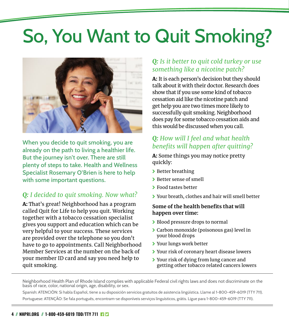## So, You Want to Quit Smoking?



**When you decide to quit smoking, you are already on the path to living a healthier life. But the journey isn't over. There are still plenty of steps to take. Health and Wellness Specialist Rosemary O'Brien is here to help with some important questions.**

#### *Q: I decided to quit smoking. Now what?*

A: That's great! Neighborhood has a program called Quit for Life to help you quit. Working together with a tobacco cessation specialist gives you support and education which can be very helpful to your success. These services are provided over the telephone so you don't have to go to appointments. Call Neighborhood Member Services at the number on the back of your member ID card and say you need help to quit smoking.

#### *Q: Is it better to quit cold turkey or use something like a nicotine patch?*

A: It is each person's decision but they should talk about it with their doctor. Research does show that if you use some kind of tobacco cessation aid like the nicotine patch and get help you are two times more likely to successfully quit smoking. Neighborhood does pay for some tobacco cessation aids and this would be discussed when you call.

#### *Q: How will I feel and what health benefits will happen after quitting?*

A: Some things you may notice pretty quickly:

- **▶ Better breathing**
- > Better sense of smell
- \ Food tastes better
- \ Your breath, clothes and hair will smell better

#### **Some of the health benefits that will happen over time:**

- > Blood pressure drops to normal
- \ Carbon monoxide (poisonous gas) level in your blood drops
- \ Your lungs work better
- \ Your risk of coronary heart disease lowers
- \ Your risk of dying from lung cancer and getting other tobacco related cancers lowers

Neighborhood Health Plan of Rhode Island complies with applicable Federal civil rights laws and does not discriminate on the basis of race, color, national origin, age, disability, or sex.

Spanish: ATENCIÓN: Si habla Español, tiene a su disposición servicios gratuitos de asistencia lingüística. Llame al 1-800-459-6019 (TTY 711). Portuguese: ATENÇÃO: Se fala português, encontram-se disponíveis serviços linguísticos, grátis. Ligue para 1-800-459-6019 (TTY 711).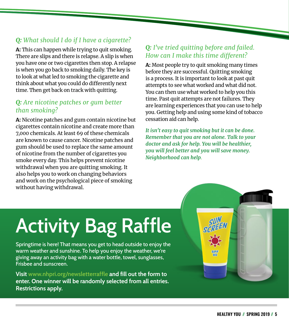#### *Q: What should I do if I have a cigarette?*

A: This can happen while trying to quit smoking. There are slips and there is relapse. A slip is when you have one or two cigarettes then stop. A relapse is when you go back to smoking daily. The key is to look at what led to smoking the cigarette and think about what you could do differently next time. Then get back on track with quitting.

#### *Q: Are nicotine patches or gum better than smoking?*

A: Nicotine patches and gum contain nicotine but cigarettes contain nicotine and create more than 7,000 chemicals. At least 69 of these chemicals are known to cause cancer. Nicotine patches and gum should be used to replace the same amount of nicotine from the number of cigarettes you smoke every day. This helps prevent nicotine withdrawal when you are quitting smoking. It also helps you to work on changing behaviors and work on the psychological piece of smoking without having withdrawal.

#### *Q: I've tried quitting before and failed. How can I make this time different?*

A: Most people try to quit smoking many times before they are successful. Quitting smoking is a process. It is important to look at past quit attempts to see what worked and what did not. You can then use what worked to help you this time. Past quit attempts are not failures. They are learning experiences that you can use to help you. Getting help and using some kind of tobacco cessation aid can help.

*It isn't easy to quit smoking but it can be done. Remember that you are not alone. Talk to your doctor and ask for help. You will be healthier, you will feel better and you will save money. Neighborhood can help*.

# **Activity Bag Raffle**

Springtime is here! That means you get to head outside to enjoy the warm weather and sunshine. To help you enjoy the weather, we're giving away an activity bag with a water bottle, towel, sunglasses, Frisbee and sunscreen.

**Visit [www.nhpri.org/newsletterraffle](http://www.nhpri.org/newsletterraffle) and fill out the form to enter. One winner will be randomly selected from all entries. Restrictions apply.**